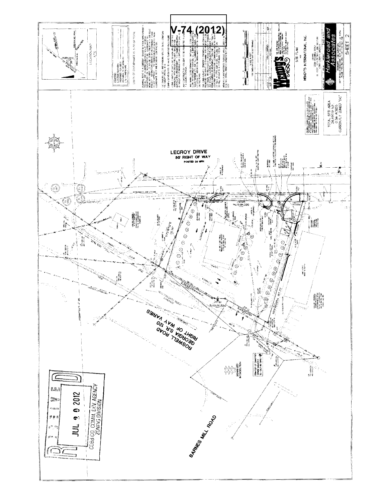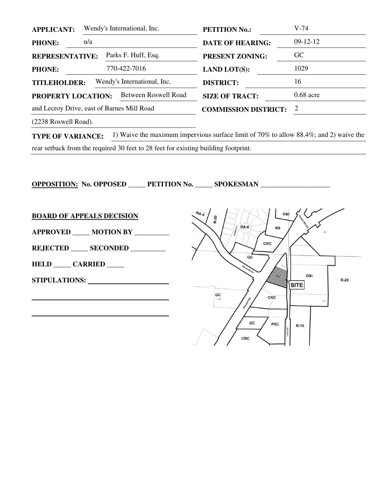| <b>APPLICANT:</b>                                  |     | Wendy's International, Inc. | <b>PETITION No.:</b>        | $V-74$      |
|----------------------------------------------------|-----|-----------------------------|-----------------------------|-------------|
| <b>PHONE:</b>                                      | n/a |                             | <b>DATE OF HEARING:</b>     | $09-12-12$  |
| Parks F. Huff, Esq.<br><b>REPRESENTATIVE:</b>      |     | <b>PRESENT ZONING:</b>      | <b>GC</b>                   |             |
| <b>PHONE:</b>                                      |     | 770-422-7016                | <b>LAND LOT(S):</b>         | 1029        |
| Wendy's International, Inc.<br><b>TITLEHOLDER:</b> |     |                             | <b>DISTRICT:</b>            | 16          |
| <b>PROPERTY LOCATION:</b>                          |     | Between Roswell Road        | <b>SIZE OF TRACT:</b>       | $0.68$ acre |
| and Lecroy Drive, east of Barnes Mill Road         |     |                             | <b>COMMISSION DISTRICT:</b> | 2           |
|                                                    |     |                             |                             |             |

(2238 Roswell Road).

**TYPE OF VARIANCE:** 1) Waive the maximum impervious surface limit of 70% to allow 88.4%; and 2) waive the rear setback from the required 30 feet to 28 feet for existing building footprint.

**OPPOSITION: No. OPPOSED \_\_\_\_\_ PETITION No. \_\_\_\_\_ SPOKESMAN \_\_\_\_\_\_\_\_\_\_\_\_\_\_\_\_\_\_\_\_**  $R_{\mathbf{A}}$ 081 **BOARD OF APPEALS DECISION R-20**  $RA-6$ **NS APPROVED \_\_\_\_\_ MOTION BY \_\_\_\_\_\_\_\_\_\_**  CRC **REJECTED \_\_\_\_\_ SECONDED \_\_\_\_\_\_\_\_\_\_**   $G\overline{C}$ **HELD \_\_\_\_\_ CARRIED \_\_\_\_\_**  0&l **STIPULATIONS:**   $R-20$ ∣sıтE GC  CRC  $\mathbf{r}$  GC **PSC**  $R-15$ CRC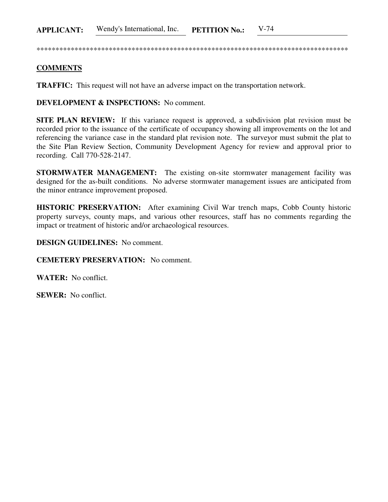\*\*\*\*\*\*\*\*\*\*\*\*\*\*\*\*\*\*\*\*\*\*\*\*\*\*\*\*\*\*\*\*\*\*\*\*\*\*\*\*\*\*\*\*\*\*\*\*\*\*\*\*\*\*\*\*\*\*\*\*\*\*\*\*\*\*\*\*\*\*\*\*\*\*\*\*\*\*\*\*\*\*

## **COMMENTS**

**TRAFFIC:** This request will not have an adverse impact on the transportation network.

**DEVELOPMENT & INSPECTIONS:** No comment.

**SITE PLAN REVIEW:** If this variance request is approved, a subdivision plat revision must be recorded prior to the issuance of the certificate of occupancy showing all improvements on the lot and referencing the variance case in the standard plat revision note. The surveyor must submit the plat to the Site Plan Review Section, Community Development Agency for review and approval prior to recording. Call 770-528-2147.

**STORMWATER MANAGEMENT:** The existing on-site stormwater management facility was designed for the as-built conditions. No adverse stormwater management issues are anticipated from the minor entrance improvement proposed.

**HISTORIC PRESERVATION:** After examining Civil War trench maps, Cobb County historic property surveys, county maps, and various other resources, staff has no comments regarding the impact or treatment of historic and/or archaeological resources.

**DESIGN GUIDELINES:** No comment.

**CEMETERY PRESERVATION:** No comment.

**WATER:** No conflict.

**SEWER:** No conflict.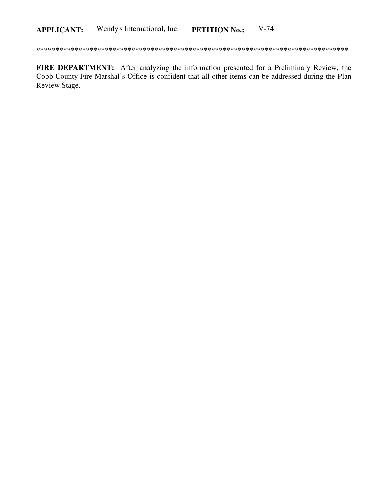FIRE DEPARTMENT: After analyzing the information presented for a Preliminary Review, the Cobb County Fire Marshal's Office is confident that all other items can be addressed during the Plan Review Stage.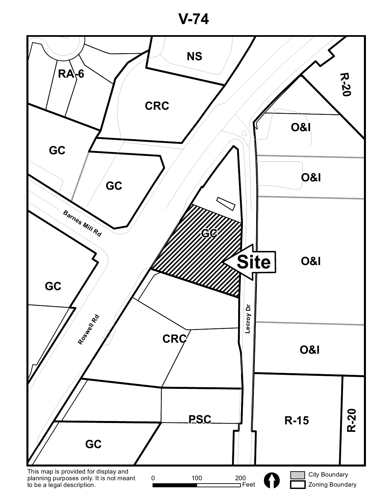**V-74**